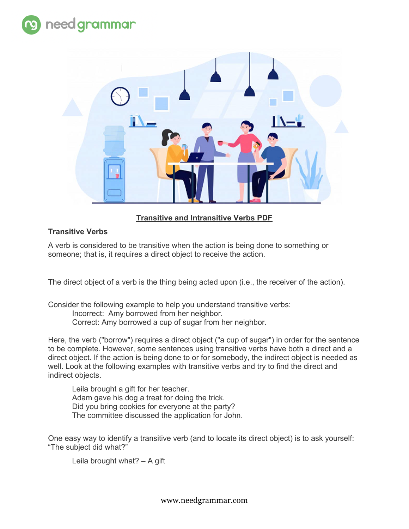



# **Transitive and Intransitive Verbs PDF**

## **Transitive Verbs**

A verb is considered to be transitive when the action is being done to something or someone; that is, it requires a direct object to receive the action.

The direct object of a verb is the thing being acted upon (i.e., the receiver of the action).

Consider the following example to help you understand transitive verbs: Incorrect: Amy borrowed from her neighbor. Correct: Amy borrowed a cup of sugar from her neighbor.

Here, the verb ("borrow") requires a direct object ("a cup of sugar") in order for the sentence to be complete. However, some sentences using transitive verbs have both a direct and a direct object. If the action is being done to or for somebody, the indirect object is needed as well. Look at the following examples with transitive verbs and try to find the direct and indirect objects.

Leila brought a gift for her teacher. Adam gave his dog a treat for doing the trick. Did you bring cookies for everyone at the party? The committee discussed the application for John.

One easy way to identify a transitive verb (and to locate its direct object) is to ask yourself: "The subject did what?"

Leila brought what? – A gift

www.needgrammar.com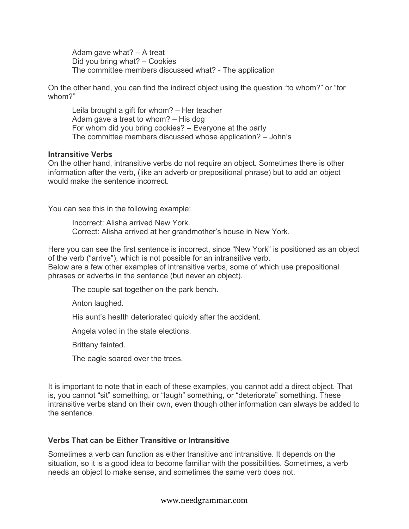Adam gave what? – A treat Did you bring what? – Cookies The committee members discussed what? - The application

On the other hand, you can find the indirect object using the question "to whom?" or "for whom?"

Leila brought a gift for whom? – Her teacher Adam gave a treat to whom? – His dog For whom did you bring cookies? – Everyone at the party The committee members discussed whose application? – John's

### **Intransitive Verbs**

On the other hand, intransitive verbs do not require an object. Sometimes there is other information after the verb, (like an adverb or prepositional phrase) but to add an object would make the sentence incorrect.

You can see this in the following example:

Incorrect: Alisha arrived New York. Correct: Alisha arrived at her grandmother's house in New York.

Here you can see the first sentence is incorrect, since "New York" is positioned as an object of the verb ("arrive"), which is not possible for an intransitive verb.

Below are a few other examples of intransitive verbs, some of which use prepositional phrases or adverbs in the sentence (but never an object).

The couple sat together on the park bench.

Anton laughed.

His aunt's health deteriorated quickly after the accident.

Angela voted in the state elections.

Brittany fainted.

The eagle soared over the trees.

It is important to note that in each of these examples, you cannot add a direct object. That is, you cannot "sit" something, or "laugh" something, or "deteriorate" something. These intransitive verbs stand on their own, even though other information can always be added to the sentence.

## **Verbs That can be Either Transitive or Intransitive**

Sometimes a verb can function as either transitive and intransitive. It depends on the situation, so it is a good idea to become familiar with the possibilities. Sometimes, a verb needs an object to make sense, and sometimes the same verb does not.

### www.needgrammar.com